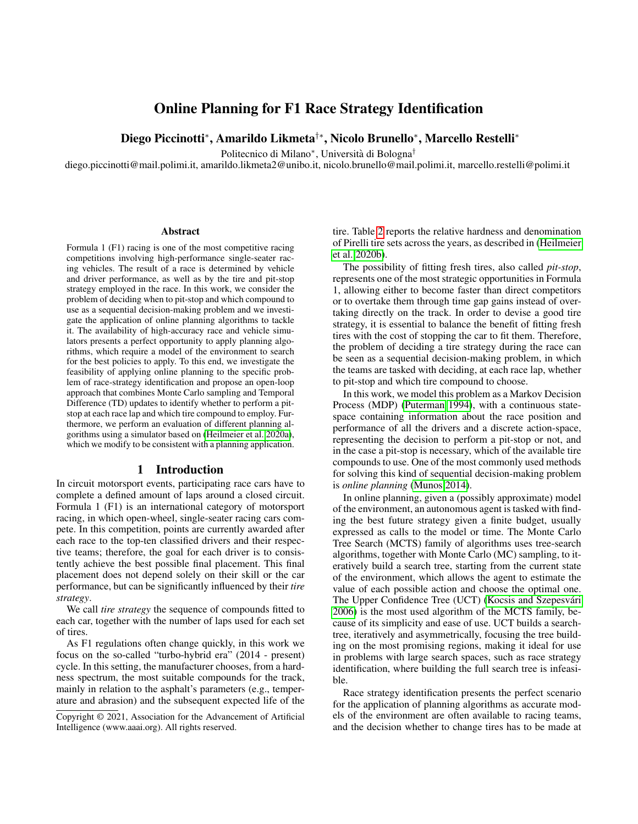# Online Planning for F1 Race Strategy Identification

Diego Piccinotti<sup>∗</sup> , Amarildo Likmeta†∗, Nicolo Brunello<sup>∗</sup> , Marcello Restelli<sup>∗</sup>

Politecnico di Milano<sup>∗</sup>, Università di Bologna<sup>†</sup>

diego.piccinotti@mail.polimi.it, amarildo.likmeta2@unibo.it, nicolo.brunello@mail.polimi.it, marcello.restelli@polimi.it

#### Abstract

Formula 1 (F1) racing is one of the most competitive racing competitions involving high-performance single-seater racing vehicles. The result of a race is determined by vehicle and driver performance, as well as by the tire and pit-stop strategy employed in the race. In this work, we consider the problem of deciding when to pit-stop and which compound to use as a sequential decision-making problem and we investigate the application of online planning algorithms to tackle it. The availability of high-accuracy race and vehicle simulators presents a perfect opportunity to apply planning algorithms, which require a model of the environment to search for the best policies to apply. To this end, we investigate the feasibility of applying online planning to the specific problem of race-strategy identification and propose an open-loop approach that combines Monte Carlo sampling and Temporal Difference (TD) updates to identify whether to perform a pitstop at each race lap and which tire compound to employ. Furthermore, we perform an evaluation of different planning algorithms using a simulator based on [\(Heilmeier et al. 2020a\)](#page-8-0), which we modify to be consistent with a planning application.

### 1 Introduction

In circuit motorsport events, participating race cars have to complete a defined amount of laps around a closed circuit. Formula 1 (F1) is an international category of motorsport racing, in which open-wheel, single-seater racing cars compete. In this competition, points are currently awarded after each race to the top-ten classified drivers and their respective teams; therefore, the goal for each driver is to consistently achieve the best possible final placement. This final placement does not depend solely on their skill or the car performance, but can be significantly influenced by their *tire strategy*.

We call *tire strategy* the sequence of compounds fitted to each car, together with the number of laps used for each set of tires.

As F1 regulations often change quickly, in this work we focus on the so-called "turbo-hybrid era" (2014 - present) cycle. In this setting, the manufacturer chooses, from a hardness spectrum, the most suitable compounds for the track, mainly in relation to the asphalt's parameters (e.g., temperature and abrasion) and the subsequent expected life of the tire. Table [2](#page-9-0) reports the relative hardness and denomination of Pirelli tire sets across the years, as described in [\(Heilmeier](#page-8-1) [et al. 2020b\)](#page-8-1).

The possibility of fitting fresh tires, also called *pit-stop*, represents one of the most strategic opportunities in Formula 1, allowing either to become faster than direct competitors or to overtake them through time gap gains instead of overtaking directly on the track. In order to devise a good tire strategy, it is essential to balance the benefit of fitting fresh tires with the cost of stopping the car to fit them. Therefore, the problem of deciding a tire strategy during the race can be seen as a sequential decision-making problem, in which the teams are tasked with deciding, at each race lap, whether to pit-stop and which tire compound to choose.

In this work, we model this problem as a Markov Decision Process (MDP) [\(Puterman 1994\)](#page-8-2), with a continuous statespace containing information about the race position and performance of all the drivers and a discrete action-space, representing the decision to perform a pit-stop or not, and in the case a pit-stop is necessary, which of the available tire compounds to use. One of the most commonly used methods for solving this kind of sequential decision-making problem is *online planning* [\(Munos 2014\)](#page-8-3).

In online planning, given a (possibly approximate) model of the environment, an autonomous agent is tasked with finding the best future strategy given a finite budget, usually expressed as calls to the model or time. The Monte Carlo Tree Search (MCTS) family of algorithms uses tree-search algorithms, together with Monte Carlo (MC) sampling, to iteratively build a search tree, starting from the current state of the environment, which allows the agent to estimate the value of each possible action and choose the optimal one. The Upper Confidence Tree (UCT) (Kocsis and Szepesvári [2006\)](#page-8-4) is the most used algorithm of the MCTS family, because of its simplicity and ease of use. UCT builds a searchtree, iteratively and asymmetrically, focusing the tree building on the most promising regions, making it ideal for use in problems with large search spaces, such as race strategy identification, where building the full search tree is infeasible.

Race strategy identification presents the perfect scenario for the application of planning algorithms as accurate models of the environment are often available to racing teams, and the decision whether to change tires has to be made at

Copyright © 2021, Association for the Advancement of Artificial Intelligence (www.aaai.org). All rights reserved.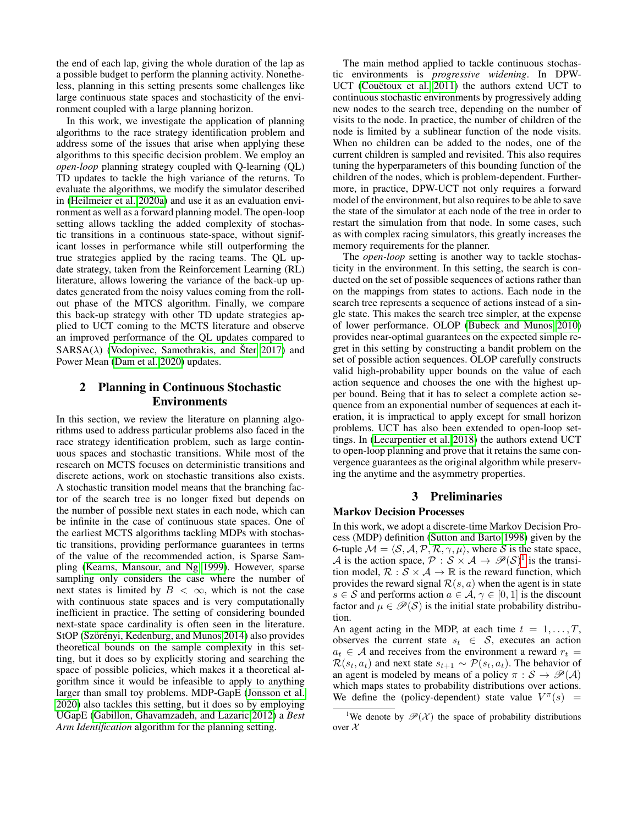the end of each lap, giving the whole duration of the lap as a possible budget to perform the planning activity. Nonetheless, planning in this setting presents some challenges like large continuous state spaces and stochasticity of the environment coupled with a large planning horizon.

In this work, we investigate the application of planning algorithms to the race strategy identification problem and address some of the issues that arise when applying these algorithms to this specific decision problem. We employ an *open-loop* planning strategy coupled with Q-learning (QL) TD updates to tackle the high variance of the returns. To evaluate the algorithms, we modify the simulator described in [\(Heilmeier et al. 2020a\)](#page-8-0) and use it as an evaluation environment as well as a forward planning model. The open-loop setting allows tackling the added complexity of stochastic transitions in a continuous state-space, without significant losses in performance while still outperforming the true strategies applied by the racing teams. The QL update strategy, taken from the Reinforcement Learning (RL) literature, allows lowering the variance of the back-up updates generated from the noisy values coming from the rollout phase of the MTCS algorithm. Finally, we compare this back-up strategy with other TD update strategies applied to UCT coming to the MCTS literature and observe an improved performance of the QL updates compared to  $SARSA(\lambda)$  [\(Vodopivec, Samothrakis, and](#page-8-5) Šter [2017\)](#page-8-5) and Power Mean [\(Dam et al. 2020\)](#page-8-6) updates.

## 2 Planning in Continuous Stochastic Environments

In this section, we review the literature on planning algorithms used to address particular problems also faced in the race strategy identification problem, such as large continuous spaces and stochastic transitions. While most of the research on MCTS focuses on deterministic transitions and discrete actions, work on stochastic transitions also exists. A stochastic transition model means that the branching factor of the search tree is no longer fixed but depends on the number of possible next states in each node, which can be infinite in the case of continuous state spaces. One of the earliest MCTS algorithms tackling MDPs with stochastic transitions, providing performance guarantees in terms of the value of the recommended action, is Sparse Sampling [\(Kearns, Mansour, and Ng 1999\)](#page-8-7). However, sparse sampling only considers the case where the number of next states is limited by  $B < \infty$ , which is not the case with continuous state spaces and is very computationally inefficient in practice. The setting of considering bounded next-state space cardinality is often seen in the literature. StOP (Szörényi, Kedenburg, and Munos 2014) also provides theoretical bounds on the sample complexity in this setting, but it does so by explicitly storing and searching the space of possible policies, which makes it a theoretical algorithm since it would be infeasible to apply to anything larger than small toy problems. MDP-GapE [\(Jonsson et al.](#page-8-9) [2020\)](#page-8-9) also tackles this setting, but it does so by employing UGapE [\(Gabillon, Ghavamzadeh, and Lazaric 2012\)](#page-8-10) a *Best Arm Identification* algorithm for the planning setting.

The main method applied to tackle continuous stochastic environments is *progressive widening*. In DPW-UCT (Couëtoux et al. 2011) the authors extend UCT to continuous stochastic environments by progressively adding new nodes to the search tree, depending on the number of visits to the node. In practice, the number of children of the node is limited by a sublinear function of the node visits. When no children can be added to the nodes, one of the current children is sampled and revisited. This also requires tuning the hyperparameters of this bounding function of the children of the nodes, which is problem-dependent. Furthermore, in practice, DPW-UCT not only requires a forward model of the environment, but also requires to be able to save the state of the simulator at each node of the tree in order to restart the simulation from that node. In some cases, such as with complex racing simulators, this greatly increases the memory requirements for the planner.

The *open-loop* setting is another way to tackle stochasticity in the environment. In this setting, the search is conducted on the set of possible sequences of actions rather than on the mappings from states to actions. Each node in the search tree represents a sequence of actions instead of a single state. This makes the search tree simpler, at the expense of lower performance. OLOP [\(Bubeck and Munos 2010\)](#page-8-12) provides near-optimal guarantees on the expected simple regret in this setting by constructing a bandit problem on the set of possible action sequences. OLOP carefully constructs valid high-probability upper bounds on the value of each action sequence and chooses the one with the highest upper bound. Being that it has to select a complete action sequence from an exponential number of sequences at each iteration, it is impractical to apply except for small horizon problems. UCT has also been extended to open-loop settings. In [\(Lecarpentier et al. 2018\)](#page-8-13) the authors extend UCT to open-loop planning and prove that it retains the same convergence guarantees as the original algorithm while preserving the anytime and the asymmetry properties.

#### 3 Preliminaries

#### Markov Decision Processes

In this work, we adopt a discrete-time Markov Decision Process (MDP) definition [\(Sutton and Barto 1998\)](#page-8-14) given by the 6-tuple  $M = \langle S, A, P, R, \gamma, \mu \rangle$ , where S is the state space, A is the action space,  $P : S \times A \rightarrow \mathcal{P}(S)^{1}$  $P : S \times A \rightarrow \mathcal{P}(S)^{1}$  $P : S \times A \rightarrow \mathcal{P}(S)^{1}$  is the transition model,  $\mathcal{R}: \mathcal{S} \times \mathcal{A} \rightarrow \mathbb{R}$  is the reward function, which provides the reward signal  $\mathcal{R}(s, a)$  when the agent is in state  $s \in S$  and performs action  $a \in A$ ,  $\gamma \in [0, 1]$  is the discount factor and  $\mu \in \mathcal{P}(\mathcal{S})$  is the initial state probability distribution.

An agent acting in the MDP, at each time  $t = 1, \ldots, T$ , observes the current state  $s_t \in S$ , executes an action  $a_t \in A$  and receives from the environment a reward  $r_t =$  $\mathcal{R}(s_t, a_t)$  and next state  $s_{t+1} \sim \mathcal{P}(s_t, a_t)$ . The behavior of an agent is modeled by means of a policy  $\pi : \mathcal{S} \to \mathcal{P}(\mathcal{A})$ which maps states to probability distributions over actions. We define the (policy-dependent) state value  $V^{\pi}(s)$  =

<span id="page-1-0"></span><sup>&</sup>lt;sup>1</sup>We denote by  $\mathscr{P}(\mathcal{X})$  the space of probability distributions over  $\mathcal{X}$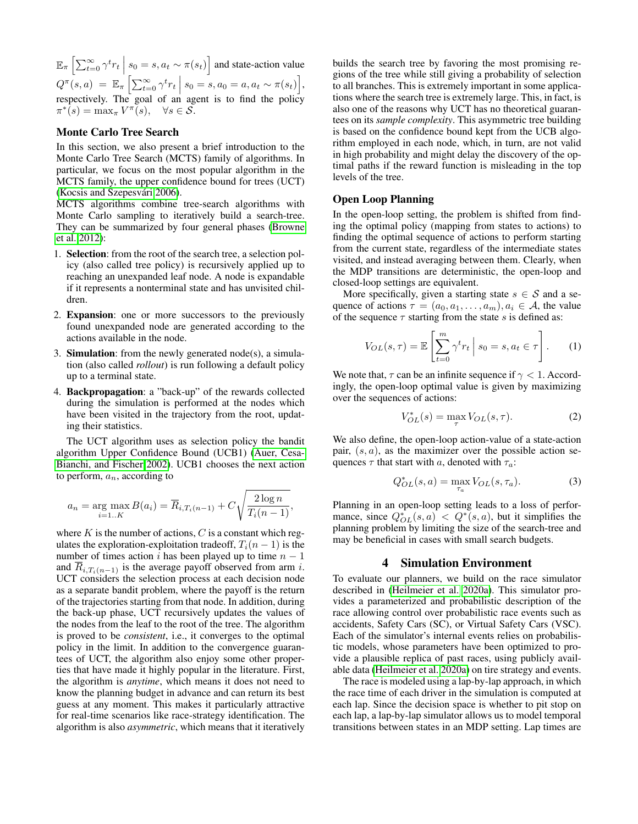$\mathbb{E}_{\pi} \left[ \sum_{t=0}^{\infty} \gamma^t r_t \mid s_0 = s, a_t \sim \pi(s_t) \right]$  and state-action value  $Q^{\pi}(s, a) = \mathbb{E}_{\pi} \left[ \sum_{t=0}^{\infty} \gamma^t r_t \, \Big| \, s_0 = s, a_0 = a, a_t \sim \pi(s_t) \right],$ respectively. The goal of an agent is to find the policy  $\pi^*(s) = \max_{\pi} V^{\pi}(s), \quad \forall s \in \mathcal{S}.$ 

#### Monte Carlo Tree Search

In this section, we also present a brief introduction to the Monte Carlo Tree Search (MCTS) family of algorithms. In particular, we focus on the most popular algorithm in the MCTS family, the upper confidence bound for trees (UCT) (Kocsis and Szepesvári 2006).

MCTS algorithms combine tree-search algorithms with Monte Carlo sampling to iteratively build a search-tree. They can be summarized by four general phases [\(Browne](#page-8-15) [et al. 2012\)](#page-8-15):

- 1. Selection: from the root of the search tree, a selection policy (also called tree policy) is recursively applied up to reaching an unexpanded leaf node. A node is expandable if it represents a nonterminal state and has unvisited children.
- 2. Expansion: one or more successors to the previously found unexpanded node are generated according to the actions available in the node.
- 3. **Simulation**: from the newly generated node(s), a simulation (also called *rollout*) is run following a default policy up to a terminal state.
- 4. Backpropagation: a "back-up" of the rewards collected during the simulation is performed at the nodes which have been visited in the trajectory from the root, updating their statistics.

The UCT algorithm uses as selection policy the bandit algorithm Upper Confidence Bound (UCB1) [\(Auer, Cesa-](#page-8-16)[Bianchi, and Fischer 2002\)](#page-8-16). UCB1 chooses the next action to perform,  $a_n$ , according to

$$
a_n = \arg \max_{i=1..K} B(a_i) = \overline{R}_{i,T_i(n-1)} + C \sqrt{\frac{2 \log n}{T_i(n-1)}},
$$

where  $K$  is the number of actions,  $C$  is a constant which regulates the exploration-exploitation tradeoff,  $T_i(n-1)$  is the number of times action i has been played up to time  $n - 1$ and  $\overline{R}_{i,T_i(n-1)}$  is the average payoff observed from arm i. UCT considers the selection process at each decision node as a separate bandit problem, where the payoff is the return of the trajectories starting from that node. In addition, during the back-up phase, UCT recursively updates the values of the nodes from the leaf to the root of the tree. The algorithm is proved to be *consistent*, i.e., it converges to the optimal policy in the limit. In addition to the convergence guarantees of UCT, the algorithm also enjoy some other properties that have made it highly popular in the literature. First, the algorithm is *anytime*, which means it does not need to know the planning budget in advance and can return its best guess at any moment. This makes it particularly attractive for real-time scenarios like race-strategy identification. The algorithm is also *asymmetric*, which means that it iteratively

builds the search tree by favoring the most promising regions of the tree while still giving a probability of selection to all branches. This is extremely important in some applications where the search tree is extremely large. This, in fact, is also one of the reasons why UCT has no theoretical guarantees on its *sample complexity*. This asymmetric tree building is based on the confidence bound kept from the UCB algorithm employed in each node, which, in turn, are not valid in high probability and might delay the discovery of the optimal paths if the reward function is misleading in the top levels of the tree.

#### Open Loop Planning

In the open-loop setting, the problem is shifted from finding the optimal policy (mapping from states to actions) to finding the optimal sequence of actions to perform starting from the current state, regardless of the intermediate states visited, and instead averaging between them. Clearly, when the MDP transitions are deterministic, the open-loop and closed-loop settings are equivalent.

More specifically, given a starting state  $s \in S$  and a sequence of actions  $\tau = (a_0, a_1, \ldots, a_m), a_i \in \mathcal{A}$ , the value of the sequence  $\tau$  starting from the state s is defined as:

$$
V_{OL}(s,\tau) = \mathbb{E}\left[\sum_{t=0}^{m} \gamma^t r_t \mid s_0 = s, a_t \in \tau\right].
$$
 (1)

We note that,  $\tau$  can be an infinite sequence if  $\gamma < 1$ . Accordingly, the open-loop optimal value is given by maximizing over the sequences of actions:

$$
V_{OL}^{*}(s) = \max_{\tau} V_{OL}(s, \tau).
$$
 (2)

We also define, the open-loop action-value of a state-action pair,  $(s, a)$ , as the maximizer over the possible action sequences  $\tau$  that start with a, denoted with  $\tau_a$ :

$$
Q_{OL}^{*}(s, a) = \max_{\tau_a} V_{OL}(s, \tau_a).
$$
 (3)

Planning in an open-loop setting leads to a loss of performance, since  $Q_{OL}^*(s, a) < Q^*(s, a)$ , but it simplifies the planning problem by limiting the size of the search-tree and may be beneficial in cases with small search budgets.

#### 4 Simulation Environment

To evaluate our planners, we build on the race simulator described in [\(Heilmeier et al. 2020a\)](#page-8-0). This simulator provides a parameterized and probabilistic description of the race allowing control over probabilistic race events such as accidents, Safety Cars (SC), or Virtual Safety Cars (VSC). Each of the simulator's internal events relies on probabilistic models, whose parameters have been optimized to provide a plausible replica of past races, using publicly available data [\(Heilmeier et al. 2020a\)](#page-8-0) on tire strategy and events.

The race is modeled using a lap-by-lap approach, in which the race time of each driver in the simulation is computed at each lap. Since the decision space is whether to pit stop on each lap, a lap-by-lap simulator allows us to model temporal transitions between states in an MDP setting. Lap times are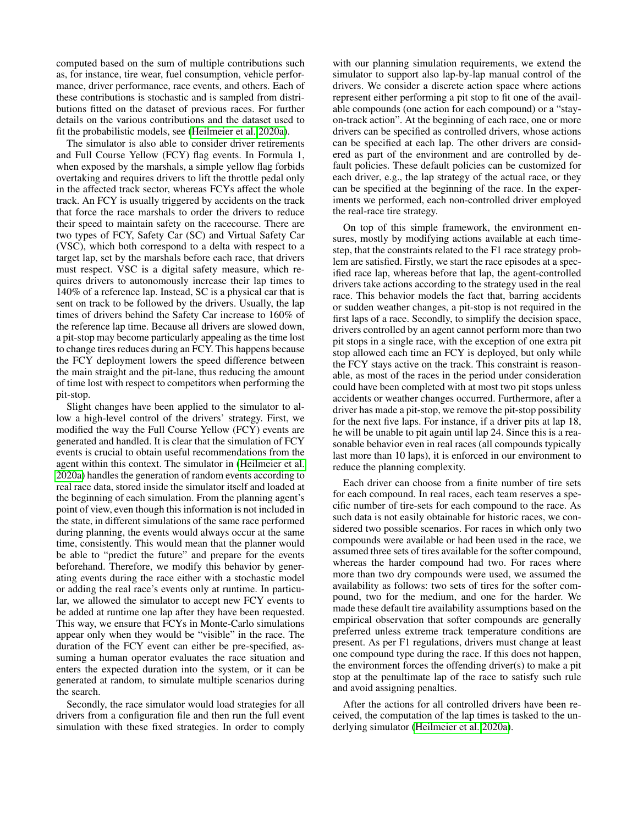computed based on the sum of multiple contributions such as, for instance, tire wear, fuel consumption, vehicle performance, driver performance, race events, and others. Each of these contributions is stochastic and is sampled from distributions fitted on the dataset of previous races. For further details on the various contributions and the dataset used to fit the probabilistic models, see [\(Heilmeier et al. 2020a\)](#page-8-0).

The simulator is also able to consider driver retirements and Full Course Yellow (FCY) flag events. In Formula 1, when exposed by the marshals, a simple yellow flag forbids overtaking and requires drivers to lift the throttle pedal only in the affected track sector, whereas FCYs affect the whole track. An FCY is usually triggered by accidents on the track that force the race marshals to order the drivers to reduce their speed to maintain safety on the racecourse. There are two types of FCY, Safety Car (SC) and Virtual Safety Car (VSC), which both correspond to a delta with respect to a target lap, set by the marshals before each race, that drivers must respect. VSC is a digital safety measure, which requires drivers to autonomously increase their lap times to 140% of a reference lap. Instead, SC is a physical car that is sent on track to be followed by the drivers. Usually, the lap times of drivers behind the Safety Car increase to 160% of the reference lap time. Because all drivers are slowed down, a pit-stop may become particularly appealing as the time lost to change tires reduces during an FCY. This happens because the FCY deployment lowers the speed difference between the main straight and the pit-lane, thus reducing the amount of time lost with respect to competitors when performing the pit-stop.

Slight changes have been applied to the simulator to allow a high-level control of the drivers' strategy. First, we modified the way the Full Course Yellow (FCY) events are generated and handled. It is clear that the simulation of FCY events is crucial to obtain useful recommendations from the agent within this context. The simulator in [\(Heilmeier et al.](#page-8-0) [2020a\)](#page-8-0) handles the generation of random events according to real race data, stored inside the simulator itself and loaded at the beginning of each simulation. From the planning agent's point of view, even though this information is not included in the state, in different simulations of the same race performed during planning, the events would always occur at the same time, consistently. This would mean that the planner would be able to "predict the future" and prepare for the events beforehand. Therefore, we modify this behavior by generating events during the race either with a stochastic model or adding the real race's events only at runtime. In particular, we allowed the simulator to accept new FCY events to be added at runtime one lap after they have been requested. This way, we ensure that FCYs in Monte-Carlo simulations appear only when they would be "visible" in the race. The duration of the FCY event can either be pre-specified, assuming a human operator evaluates the race situation and enters the expected duration into the system, or it can be generated at random, to simulate multiple scenarios during the search.

Secondly, the race simulator would load strategies for all drivers from a configuration file and then run the full event simulation with these fixed strategies. In order to comply

with our planning simulation requirements, we extend the simulator to support also lap-by-lap manual control of the drivers. We consider a discrete action space where actions represent either performing a pit stop to fit one of the available compounds (one action for each compound) or a "stayon-track action". At the beginning of each race, one or more drivers can be specified as controlled drivers, whose actions can be specified at each lap. The other drivers are considered as part of the environment and are controlled by default policies. These default policies can be customized for each driver, e.g., the lap strategy of the actual race, or they can be specified at the beginning of the race. In the experiments we performed, each non-controlled driver employed the real-race tire strategy.

On top of this simple framework, the environment ensures, mostly by modifying actions available at each timestep, that the constraints related to the F1 race strategy problem are satisfied. Firstly, we start the race episodes at a specified race lap, whereas before that lap, the agent-controlled drivers take actions according to the strategy used in the real race. This behavior models the fact that, barring accidents or sudden weather changes, a pit-stop is not required in the first laps of a race. Secondly, to simplify the decision space, drivers controlled by an agent cannot perform more than two pit stops in a single race, with the exception of one extra pit stop allowed each time an FCY is deployed, but only while the FCY stays active on the track. This constraint is reasonable, as most of the races in the period under consideration could have been completed with at most two pit stops unless accidents or weather changes occurred. Furthermore, after a driver has made a pit-stop, we remove the pit-stop possibility for the next five laps. For instance, if a driver pits at lap 18, he will be unable to pit again until lap 24. Since this is a reasonable behavior even in real races (all compounds typically last more than 10 laps), it is enforced in our environment to reduce the planning complexity.

Each driver can choose from a finite number of tire sets for each compound. In real races, each team reserves a specific number of tire-sets for each compound to the race. As such data is not easily obtainable for historic races, we considered two possible scenarios. For races in which only two compounds were available or had been used in the race, we assumed three sets of tires available for the softer compound, whereas the harder compound had two. For races where more than two dry compounds were used, we assumed the availability as follows: two sets of tires for the softer compound, two for the medium, and one for the harder. We made these default tire availability assumptions based on the empirical observation that softer compounds are generally preferred unless extreme track temperature conditions are present. As per F1 regulations, drivers must change at least one compound type during the race. If this does not happen, the environment forces the offending driver(s) to make a pit stop at the penultimate lap of the race to satisfy such rule and avoid assigning penalties.

After the actions for all controlled drivers have been received, the computation of the lap times is tasked to the underlying simulator [\(Heilmeier et al. 2020a\)](#page-8-0).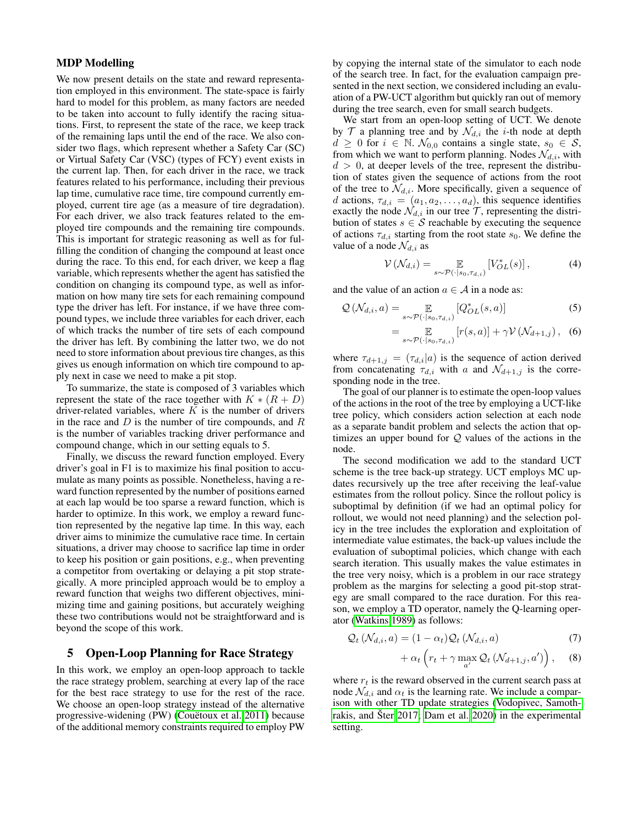### MDP Modelling

We now present details on the state and reward representation employed in this environment. The state-space is fairly hard to model for this problem, as many factors are needed to be taken into account to fully identify the racing situations. First, to represent the state of the race, we keep track of the remaining laps until the end of the race. We also consider two flags, which represent whether a Safety Car (SC) or Virtual Safety Car (VSC) (types of FCY) event exists in the current lap. Then, for each driver in the race, we track features related to his performance, including their previous lap time, cumulative race time, tire compound currently employed, current tire age (as a measure of tire degradation). For each driver, we also track features related to the employed tire compounds and the remaining tire compounds. This is important for strategic reasoning as well as for fulfilling the condition of changing the compound at least once during the race. To this end, for each driver, we keep a flag variable, which represents whether the agent has satisfied the condition on changing its compound type, as well as information on how many tire sets for each remaining compound type the driver has left. For instance, if we have three compound types, we include three variables for each driver, each of which tracks the number of tire sets of each compound the driver has left. By combining the latter two, we do not need to store information about previous tire changes, as this gives us enough information on which tire compound to apply next in case we need to make a pit stop.

To summarize, the state is composed of 3 variables which represent the state of the race together with  $K * (R + D)$ driver-related variables, where  $K$  is the number of drivers in the race and  $D$  is the number of tire compounds, and  $R$ is the number of variables tracking driver performance and compound change, which in our setting equals to 5.

Finally, we discuss the reward function employed. Every driver's goal in F1 is to maximize his final position to accumulate as many points as possible. Nonetheless, having a reward function represented by the number of positions earned at each lap would be too sparse a reward function, which is harder to optimize. In this work, we employ a reward function represented by the negative lap time. In this way, each driver aims to minimize the cumulative race time. In certain situations, a driver may choose to sacrifice lap time in order to keep his position or gain positions, e.g., when preventing a competitor from overtaking or delaying a pit stop strategically. A more principled approach would be to employ a reward function that weighs two different objectives, minimizing time and gaining positions, but accurately weighing these two contributions would not be straightforward and is beyond the scope of this work.

### 5 Open-Loop Planning for Race Strategy

In this work, we employ an open-loop approach to tackle the race strategy problem, searching at every lap of the race for the best race strategy to use for the rest of the race. We choose an open-loop strategy instead of the alternative progressive-widening (PW) (Couëtoux et al. 2011) because of the additional memory constraints required to employ PW

by copying the internal state of the simulator to each node of the search tree. In fact, for the evaluation campaign presented in the next section, we considered including an evaluation of a PW-UCT algorithm but quickly ran out of memory during the tree search, even for small search budgets.

We start from an open-loop setting of UCT. We denote by  $T$  a planning tree and by  $\mathcal{N}_{d,i}$  the *i*-th node at depth  $d \geq 0$  for  $i \in \mathbb{N}$ .  $\mathcal{N}_{0,0}$  contains a single state,  $s_0 \in \mathcal{S}$ , from which we want to perform planning. Nodes  $\mathcal{N}_{d,i}$ , with  $d > 0$ , at deeper levels of the tree, represent the distribution of states given the sequence of actions from the root of the tree to  $\mathcal{N}_{d,i}$ . More specifically, given a sequence of d actions,  $\tau_{d,i} = (a_1, a_2, \dots, a_d)$ , this sequence identifies exactly the node  $\mathcal{N}_{d,i}$  in our tree  $\mathcal{T}$ , representing the distribution of states  $s \in \mathcal{S}$  reachable by executing the sequence of actions  $\tau_{d,i}$  starting from the root state  $s_0$ . We define the value of a node  $\mathcal{N}_{d,i}$  as

$$
\mathcal{V}\left(\mathcal{N}_{d,i}\right) = \mathop{\mathbb{E}}_{s \sim \mathcal{P}\left(\cdot \mid s_0, \tau_{d,i}\right)}\left[V_{OL}^*(s)\right],\tag{4}
$$

and the value of an action  $a \in A$  in a node as:

$$
\mathcal{Q}\left(\mathcal{N}_{d,i},a\right) = \mathop{\mathbb{E}}_{s \sim \mathcal{P}\left(\cdot \mid s_0, \tau_{d,i}\right)} \left[Q_{OL}^*(s, a)\right] \tag{5}
$$
\n
$$
= \mathop{\mathbb{E}}_{s \sim \mathcal{P}\left(\cdot \mid s_0, \tau_{d,i}\right)} \left[ \mathcal{Q}_{OL}^*(s, a)\right] + \mathcal{Q}^2 \left(\mathcal{M}\right) \tag{6}
$$

$$
= \mathop{\mathbb{E}}\limits_{s \sim \mathcal{P}(\cdot|s_0, \tau_{d,i})} \left[ r(s, a) \right] + \gamma \mathcal{V} \left( \mathcal{N}_{d+1,j} \right), \quad (6)
$$

where  $\tau_{d+1,j} = (\tau_{d,i}|a)$  is the sequence of action derived from concatenating  $\tau_{d,i}$  with a and  $\mathcal{N}_{d+1,j}$  is the corresponding node in the tree.

The goal of our planner is to estimate the open-loop values of the actions in the root of the tree by employing a UCT-like tree policy, which considers action selection at each node as a separate bandit problem and selects the action that optimizes an upper bound for  $Q$  values of the actions in the node.

The second modification we add to the standard UCT scheme is the tree back-up strategy. UCT employs MC updates recursively up the tree after receiving the leaf-value estimates from the rollout policy. Since the rollout policy is suboptimal by definition (if we had an optimal policy for rollout, we would not need planning) and the selection policy in the tree includes the exploration and exploitation of intermediate value estimates, the back-up values include the evaluation of suboptimal policies, which change with each search iteration. This usually makes the value estimates in the tree very noisy, which is a problem in our race strategy problem as the margins for selecting a good pit-stop strategy are small compared to the race duration. For this reason, we employ a TD operator, namely the Q-learning operator [\(Watkins 1989\)](#page-8-17) as follows:

$$
Q_t\left(\mathcal{N}_{d,i},a\right) = (1-\alpha_t)Q_t\left(\mathcal{N}_{d,i},a\right) \tag{7}
$$

<span id="page-4-0"></span>
$$
+\alpha_t\left(r_t+\gamma \max_{a'}\mathcal{Q}_t\left(\mathcal{N}_{d+1,j},a'\right)\right),\quad (8)
$$

where  $r_t$  is the reward observed in the current search pass at node  $\mathcal{N}_{d,i}$  and  $\alpha_t$  is the learning rate. We include a comparison with other TD update strategies [\(Vodopivec, Samoth](#page-8-5)[rakis, and](#page-8-5) Šter [2017;](#page-8-5) Dam et al.  $2020$ ) in the experimental setting.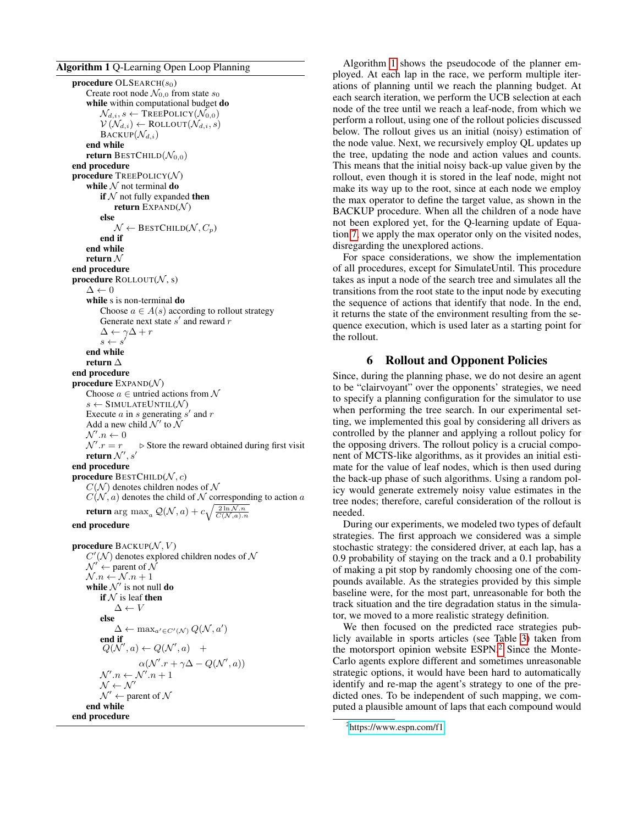#### <span id="page-5-0"></span>Algorithm 1 Q-Learning Open Loop Planning

```
procedure OLEARCH(s_0)Create root node \mathcal{N}_{0,0} from state s_0while within computational budget do
         \mathcal{N}_{d,i}, s \leftarrow \text{TreePOLICY}(\mathcal{N}_{0,0})V(N_{d,i}) \leftarrow \text{ROLLOUT}(N_{d,i}, s)\text{BACKUP}(\mathcal{N}_{d,i})end while
    return BESTCHILD(\mathcal{N}_{0,0})end procedure
procedure TREEPOLICY(N)while N not terminal do
         if N not fully expanded then
             return EXPAND(N)else
             \mathcal{N} \leftarrow BESTCHILD(\mathcal{N}, C_p)end if
    end while
    return \mathcal Nend procedure
procedure ROLLOUT(N, s)\Delta \leftarrow 0while s is non-terminal do
         Choose a \in A(s) according to rollout strategy
         Generate next state s' and reward r\Delta \leftarrow \gamma \Delta + rs \leftarrow send while
    return ∆
end procedure
procedure EXPAND(N)Choose a \in untried actions from \mathcal Ns \leftarrow SIMULATEUNTIL(\mathcal{N})
     Execute a in s generating s' and rAdd a new child \mathcal{N}' to \tilde{\mathcal{N}}\mathcal{N}'\mathit{.}n \leftarrow 0\mathcal{N}'\triangleright Store the reward obtained during first visit
     return \mathcal{N}', s'end procedure
procedure BESTCHILD(N, c)
    C(\mathcal{N}) denotes children nodes of \mathcal NC(N, a) denotes the child of N corresponding to action a
     return \arg\, \max_a Q(\mathcal{N},a) + c \sqrt{\frac{2\ln \mathcal{N}.n}{C(\mathcal{N},a).n}}
```
#### end procedure

```
procedure \text{BACKUP}(\mathcal{N}, V)C'(\mathcal{N}) denotes explored children nodes of \mathcal N\mathcal{N}' \leftarrow parent of \mathcal{N}\mathcal{N}.n \leftarrow \mathcal{N}.n + 1while \mathcal{N}' is not null do
            if N is leaf then
                   \Lambda \leftarrow Velse
                   \Delta \leftarrow \max_{a' \in C'(N)} Q(\mathcal{N}, a')end if
              Q(\mathcal{N}',a) \leftarrow Q(\mathcal{N}',a) +\alpha(\mathcal{N}'.r + \gamma\Delta - Q(\mathcal{N}',a))\mathcal{N}'.n \leftarrow \mathcal{N}'.n+1\mathcal{N} \leftarrow \mathcal{N}'\mathcal{N}' \leftarrow parent of \mathcal{N}end while
end procedure
```
Algorithm [1](#page-5-0) shows the pseudocode of the planner employed. At each lap in the race, we perform multiple iterations of planning until we reach the planning budget. At each search iteration, we perform the UCB selection at each node of the tree until we reach a leaf-node, from which we perform a rollout, using one of the rollout policies discussed below. The rollout gives us an initial (noisy) estimation of the node value. Next, we recursively employ QL updates up the tree, updating the node and action values and counts. This means that the initial noisy back-up value given by the rollout, even though it is stored in the leaf node, might not make its way up to the root, since at each node we employ the max operator to define the target value, as shown in the BACKUP procedure. When all the children of a node have not been explored yet, for the Q-learning update of Equation [7,](#page-4-0) we apply the max operator only on the visited nodes, disregarding the unexplored actions.

For space considerations, we show the implementation of all procedures, except for SimulateUntil. This procedure takes as input a node of the search tree and simulates all the transitions from the root state to the input node by executing the sequence of actions that identify that node. In the end, it returns the state of the environment resulting from the sequence execution, which is used later as a starting point for the rollout.

### 6 Rollout and Opponent Policies

Since, during the planning phase, we do not desire an agent to be "clairvoyant" over the opponents' strategies, we need to specify a planning configuration for the simulator to use when performing the tree search. In our experimental setting, we implemented this goal by considering all drivers as controlled by the planner and applying a rollout policy for the opposing drivers. The rollout policy is a crucial component of MCTS-like algorithms, as it provides an initial estimate for the value of leaf nodes, which is then used during the back-up phase of such algorithms. Using a random policy would generate extremely noisy value estimates in the tree nodes; therefore, careful consideration of the rollout is needed.

During our experiments, we modeled two types of default strategies. The first approach we considered was a simple stochastic strategy: the considered driver, at each lap, has a 0.9 probability of staying on the track and a 0.1 probability of making a pit stop by randomly choosing one of the compounds available. As the strategies provided by this simple baseline were, for the most part, unreasonable for both the track situation and the tire degradation status in the simulator, we moved to a more realistic strategy definition.

We then focused on the predicted race strategies publicly available in sports articles (see Table [3\)](#page-9-1) taken from the motorsport opinion website ESPN.<sup>[2](#page-5-1)</sup> Since the Monte-Carlo agents explore different and sometimes unreasonable strategic options, it would have been hard to automatically identify and re-map the agent's strategy to one of the predicted ones. To be independent of such mapping, we computed a plausible amount of laps that each compound would

<span id="page-5-1"></span><sup>&</sup>lt;sup>2</sup><https://www.espn.com/f1>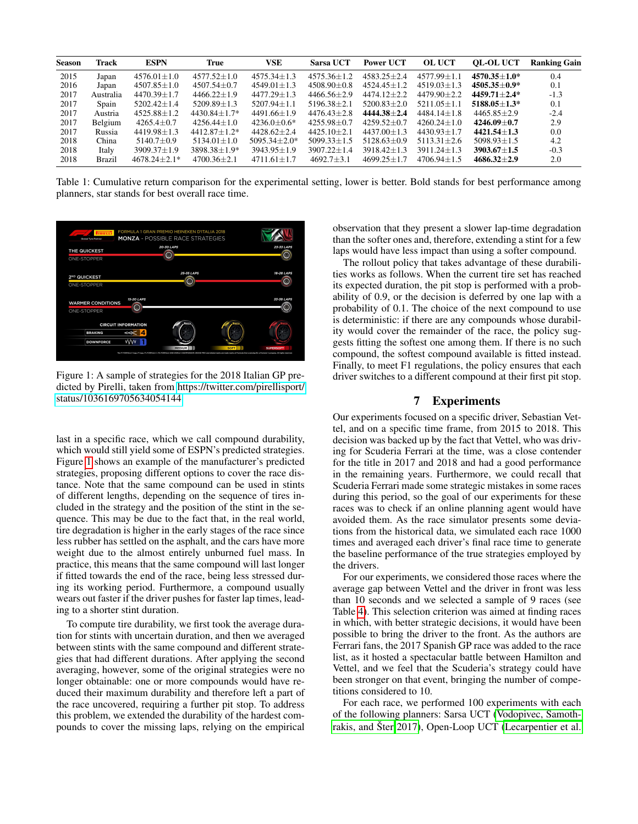<span id="page-6-1"></span>

| <b>Season</b> | <b>Track</b>  | <b>ESPN</b>       | True               | <b>VSE</b>        | <b>Sarsa UCT</b>  | <b>Power UCT</b>  | <b>OL UCT</b>   | <b>OL-OL UCT</b> | <b>Ranking Gain</b> |
|---------------|---------------|-------------------|--------------------|-------------------|-------------------|-------------------|-----------------|------------------|---------------------|
| 2015          | Japan         | $4576.01 \pm 1.0$ | $4577.52 + 1.0$    | $4575.34 + 1.3$   | $4575.36 + 1.2$   | $4583.25 + 2.4$   | $4577.99 + 1.1$ | $4570.35 + 1.0*$ | 0.4                 |
| 2016          | Japan         | $4507.85 \pm 1.0$ | $4507.54 + 0.7$    | $4549.01 \pm 1.3$ | $4508.90 + 0.8$   | $4524.45 + 1.2$   | $4519.03 + 1.3$ | $4505.35 + 0.9*$ | 0.1                 |
| 2017          | Australia     | $4470.39 + 1.7$   | $4466.22+1.9$      | $4477.29 \pm 1.3$ | $4466.56 + 2.9$   | $4474.12+2.2$     | $4479.90 + 2.2$ | $4459.71 + 2.4*$ | $-1.3$              |
| 2017          | Spain         | $5202.42 \pm 1.4$ | $5209.89 \pm 1.3$  | $5207.94 + 1.1$   | $5196.38 + 2.1$   | $5200.83 + 2.0$   | $5211.05 + 1.1$ | $5188.05 + 1.3*$ | 0.1                 |
| 2017          | Austria       | $4525.88 + 1.2$   | $4430.84 + 1.7*$   | $4491.66 + 1.9$   | $4476.43 + 2.8$   | $4444.38 + 2.4$   | $4484.14 + 1.8$ | $4465.85 + 2.9$  | $-2.4$              |
| 2017          | Belgium       | $4265.4 \pm 0.7$  | $4256.44 \pm 1.0$  | $4236.0 \pm 0.6*$ | $4255.98 \pm 0.7$ | $4259.52 + 0.7$   | $4260.24 + 1.0$ | $4246.09 + 0.7$  | 2.9                 |
| 2017          | Russia        | $4419.98 + 1.3$   | $4412.87 + 1.2*$   | $4428.62+2.4$     | $4425.10 + 2.1$   | $4437.00 + 1.3$   | $4430.93 + 1.7$ | $4421.54 + 1.3$  | 0.0                 |
| 2018          | China         | $5140.7 + 0.9$    | $5134.01 \pm 1.0$  | $5095.34 + 2.0*$  | $5099.33 + 1.5$   | $5128.63 + 0.9$   | $5113.31 + 2.6$ | $5098.93 + 1.5$  | 4.2                 |
| 2018          | Italy         | $3909.37 \pm 1.9$ | $3898.38 \pm 1.9*$ | $3943.95 \pm 1.9$ | $3907.22 + 1.4$   | $3918.42 \pm 1.3$ | $3911.24 + 1.3$ | $3903.67 + 1.5$  | $-0.3$              |
| 2018          | <b>Brazil</b> | $4678.24 + 2.1*$  | $4700.36 + 2.1$    | $4711.61 + 1.7$   | $4692.7 + 3.1$    | $4699.25 + 1.7$   | $4706.94 + 1.5$ | $4686.32 + 2.9$  | 2.0                 |

Table 1: Cumulative return comparison for the experimental setting, lower is better. Bold stands for best performance among planners, star stands for best overall race time.

<span id="page-6-0"></span>

Figure 1: A sample of strategies for the 2018 Italian GP predicted by Pirelli, taken from [https://twitter.com/pirellisport/](https://twitter.com/pirellisport/status/1036169705634054144) [status/1036169705634054144](https://twitter.com/pirellisport/status/1036169705634054144)

last in a specific race, which we call compound durability, which would still yield some of ESPN's predicted strategies. Figure [1](#page-6-0) shows an example of the manufacturer's predicted strategies, proposing different options to cover the race distance. Note that the same compound can be used in stints of different lengths, depending on the sequence of tires included in the strategy and the position of the stint in the sequence. This may be due to the fact that, in the real world, tire degradation is higher in the early stages of the race since less rubber has settled on the asphalt, and the cars have more weight due to the almost entirely unburned fuel mass. In practice, this means that the same compound will last longer if fitted towards the end of the race, being less stressed during its working period. Furthermore, a compound usually wears out faster if the driver pushes for faster lap times, leading to a shorter stint duration.

To compute tire durability, we first took the average duration for stints with uncertain duration, and then we averaged between stints with the same compound and different strategies that had different durations. After applying the second averaging, however, some of the original strategies were no longer obtainable: one or more compounds would have reduced their maximum durability and therefore left a part of the race uncovered, requiring a further pit stop. To address this problem, we extended the durability of the hardest compounds to cover the missing laps, relying on the empirical

observation that they present a slower lap-time degradation than the softer ones and, therefore, extending a stint for a few laps would have less impact than using a softer compound.

The rollout policy that takes advantage of these durabilities works as follows. When the current tire set has reached its expected duration, the pit stop is performed with a probability of 0.9, or the decision is deferred by one lap with a probability of 0.1. The choice of the next compound to use is deterministic: if there are any compounds whose durability would cover the remainder of the race, the policy suggests fitting the softest one among them. If there is no such compound, the softest compound available is fitted instead. Finally, to meet F1 regulations, the policy ensures that each driver switches to a different compound at their first pit stop.

#### 7 Experiments

Our experiments focused on a specific driver, Sebastian Vettel, and on a specific time frame, from 2015 to 2018. This decision was backed up by the fact that Vettel, who was driving for Scuderia Ferrari at the time, was a close contender for the title in 2017 and 2018 and had a good performance in the remaining years. Furthermore, we could recall that Scuderia Ferrari made some strategic mistakes in some races during this period, so the goal of our experiments for these races was to check if an online planning agent would have avoided them. As the race simulator presents some deviations from the historical data, we simulated each race 1000 times and averaged each driver's final race time to generate the baseline performance of the true strategies employed by the drivers.

For our experiments, we considered those races where the average gap between Vettel and the driver in front was less than 10 seconds and we selected a sample of 9 races (see Table [4\)](#page-10-0). This selection criterion was aimed at finding races in which, with better strategic decisions, it would have been possible to bring the driver to the front. As the authors are Ferrari fans, the 2017 Spanish GP race was added to the race list, as it hosted a spectacular battle between Hamilton and Vettel, and we feel that the Scuderia's strategy could have been stronger on that event, bringing the number of competitions considered to 10.

For each race, we performed 100 experiments with each of the following planners: Sarsa UCT [\(Vodopivec, Samoth](#page-8-5)[rakis, and](#page-8-5) Šter [2017\)](#page-8-5), Open-Loop UCT [\(Lecarpentier et al.](#page-8-13)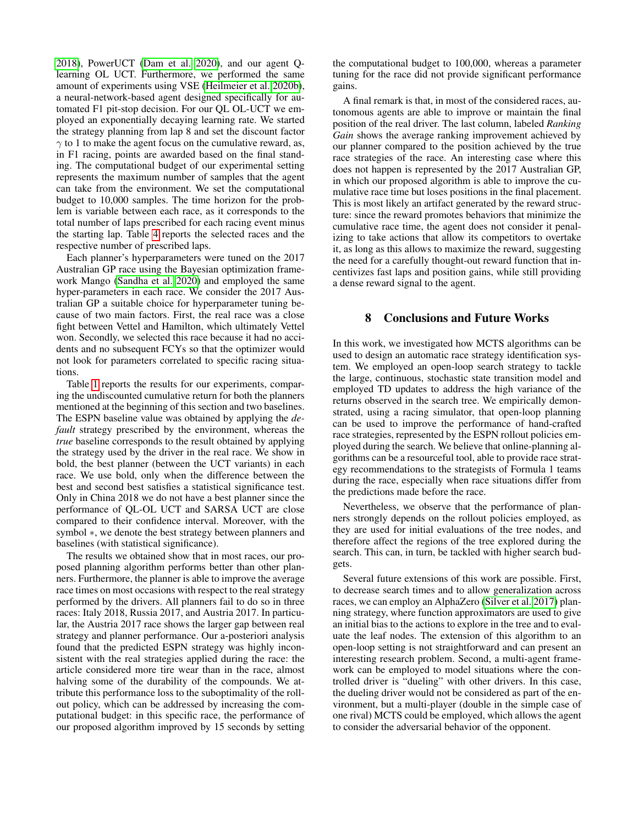[2018\)](#page-8-13), PowerUCT [\(Dam et al. 2020\)](#page-8-6), and our agent Qlearning OL UCT. Furthermore, we performed the same amount of experiments using VSE [\(Heilmeier et al. 2020b\)](#page-8-1), a neural-network-based agent designed specifically for automated F1 pit-stop decision. For our QL OL-UCT we employed an exponentially decaying learning rate. We started the strategy planning from lap 8 and set the discount factor  $\gamma$  to 1 to make the agent focus on the cumulative reward, as, in F1 racing, points are awarded based on the final standing. The computational budget of our experimental setting represents the maximum number of samples that the agent can take from the environment. We set the computational budget to 10,000 samples. The time horizon for the problem is variable between each race, as it corresponds to the total number of laps prescribed for each racing event minus the starting lap. Table [4](#page-10-0) reports the selected races and the respective number of prescribed laps.

Each planner's hyperparameters were tuned on the 2017 Australian GP race using the Bayesian optimization framework Mango [\(Sandha et al. 2020\)](#page-8-18) and employed the same hyper-parameters in each race. We consider the 2017 Australian GP a suitable choice for hyperparameter tuning because of two main factors. First, the real race was a close fight between Vettel and Hamilton, which ultimately Vettel won. Secondly, we selected this race because it had no accidents and no subsequent FCYs so that the optimizer would not look for parameters correlated to specific racing situations.

Table [1](#page-6-1) reports the results for our experiments, comparing the undiscounted cumulative return for both the planners mentioned at the beginning of this section and two baselines. The ESPN baseline value was obtained by applying the *default* strategy prescribed by the environment, whereas the *true* baseline corresponds to the result obtained by applying the strategy used by the driver in the real race. We show in bold, the best planner (between the UCT variants) in each race. We use bold, only when the difference between the best and second best satisfies a statistical significance test. Only in China 2018 we do not have a best planner since the performance of QL-OL UCT and SARSA UCT are close compared to their confidence interval. Moreover, with the symbol  $*$ , we denote the best strategy between planners and baselines (with statistical significance).

The results we obtained show that in most races, our proposed planning algorithm performs better than other planners. Furthermore, the planner is able to improve the average race times on most occasions with respect to the real strategy performed by the drivers. All planners fail to do so in three races: Italy 2018, Russia 2017, and Austria 2017. In particular, the Austria 2017 race shows the larger gap between real strategy and planner performance. Our a-posteriori analysis found that the predicted ESPN strategy was highly inconsistent with the real strategies applied during the race: the article considered more tire wear than in the race, almost halving some of the durability of the compounds. We attribute this performance loss to the suboptimality of the rollout policy, which can be addressed by increasing the computational budget: in this specific race, the performance of our proposed algorithm improved by 15 seconds by setting

the computational budget to 100,000, whereas a parameter tuning for the race did not provide significant performance gains.

A final remark is that, in most of the considered races, autonomous agents are able to improve or maintain the final position of the real driver. The last column, labeled *Ranking Gain* shows the average ranking improvement achieved by our planner compared to the position achieved by the true race strategies of the race. An interesting case where this does not happen is represented by the 2017 Australian GP, in which our proposed algorithm is able to improve the cumulative race time but loses positions in the final placement. This is most likely an artifact generated by the reward structure: since the reward promotes behaviors that minimize the cumulative race time, the agent does not consider it penalizing to take actions that allow its competitors to overtake it, as long as this allows to maximize the reward, suggesting the need for a carefully thought-out reward function that incentivizes fast laps and position gains, while still providing a dense reward signal to the agent.

#### 8 Conclusions and Future Works

In this work, we investigated how MCTS algorithms can be used to design an automatic race strategy identification system. We employed an open-loop search strategy to tackle the large, continuous, stochastic state transition model and employed TD updates to address the high variance of the returns observed in the search tree. We empirically demonstrated, using a racing simulator, that open-loop planning can be used to improve the performance of hand-crafted race strategies, represented by the ESPN rollout policies employed during the search. We believe that online-planning algorithms can be a resourceful tool, able to provide race strategy recommendations to the strategists of Formula 1 teams during the race, especially when race situations differ from the predictions made before the race.

Nevertheless, we observe that the performance of planners strongly depends on the rollout policies employed, as they are used for initial evaluations of the tree nodes, and therefore affect the regions of the tree explored during the search. This can, in turn, be tackled with higher search budgets.

Several future extensions of this work are possible. First, to decrease search times and to allow generalization across races, we can employ an AlphaZero [\(Silver et al. 2017\)](#page-8-19) planning strategy, where function approximators are used to give an initial bias to the actions to explore in the tree and to evaluate the leaf nodes. The extension of this algorithm to an open-loop setting is not straightforward and can present an interesting research problem. Second, a multi-agent framework can be employed to model situations where the controlled driver is "dueling" with other drivers. In this case, the dueling driver would not be considered as part of the environment, but a multi-player (double in the simple case of one rival) MCTS could be employed, which allows the agent to consider the adversarial behavior of the opponent.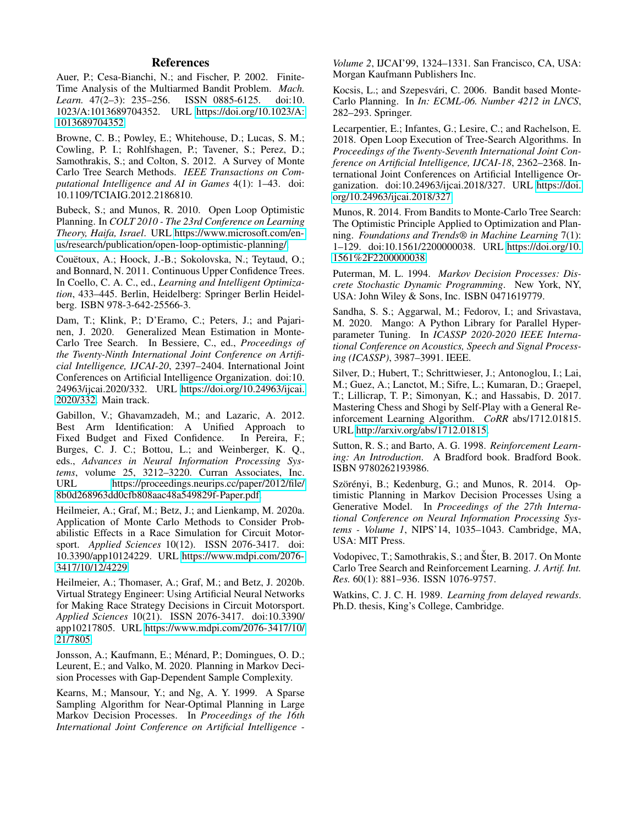### References

<span id="page-8-16"></span>Auer, P.; Cesa-Bianchi, N.; and Fischer, P. 2002. Finite-Time Analysis of the Multiarmed Bandit Problem. *Mach. Learn.* 47(2–3): 235–256. ISSN 0885-6125. doi:10. 1023/A:1013689704352. URL [https://doi.org/10.1023/A:](https://doi.org/10.1023/A:1013689704352) [1013689704352.](https://doi.org/10.1023/A:1013689704352)

<span id="page-8-15"></span>Browne, C. B.; Powley, E.; Whitehouse, D.; Lucas, S. M.; Cowling, P. I.; Rohlfshagen, P.; Tavener, S.; Perez, D.; Samothrakis, S.; and Colton, S. 2012. A Survey of Monte Carlo Tree Search Methods. *IEEE Transactions on Computational Intelligence and AI in Games* 4(1): 1–43. doi: 10.1109/TCIAIG.2012.2186810.

<span id="page-8-12"></span>Bubeck, S.; and Munos, R. 2010. Open Loop Optimistic Planning. In *COLT 2010 - The 23rd Conference on Learning Theory, Haifa, Israel*. URL [https://www.microsoft.com/en](https://www.microsoft.com/en-us/research/publication/open-loop-optimistic-planning/)[us/research/publication/open-loop-optimistic-planning/.](https://www.microsoft.com/en-us/research/publication/open-loop-optimistic-planning/)

<span id="page-8-11"></span>Couëtoux, A.; Hoock, J.-B.; Sokolovska, N.; Teytaud, O.; and Bonnard, N. 2011. Continuous Upper Confidence Trees. In Coello, C. A. C., ed., *Learning and Intelligent Optimization*, 433–445. Berlin, Heidelberg: Springer Berlin Heidelberg. ISBN 978-3-642-25566-3.

<span id="page-8-6"></span>Dam, T.; Klink, P.; D'Eramo, C.; Peters, J.; and Pajarinen, J. 2020. Generalized Mean Estimation in Monte-Carlo Tree Search. In Bessiere, C., ed., *Proceedings of the Twenty-Ninth International Joint Conference on Artificial Intelligence, IJCAI-20*, 2397–2404. International Joint Conferences on Artificial Intelligence Organization. doi:10. 24963/ijcai.2020/332. URL [https://doi.org/10.24963/ijcai.](https://doi.org/10.24963/ijcai.2020/332) [2020/332.](https://doi.org/10.24963/ijcai.2020/332) Main track.

<span id="page-8-10"></span>Gabillon, V.; Ghavamzadeh, M.; and Lazaric, A. 2012. Best Arm Identification: A Unified Approach to Fixed Budget and Fixed Confidence. In Pereira, F.; Burges, C. J. C.; Bottou, L.; and Weinberger, K. Q., eds., *Advances in Neural Information Processing Systems*, volume 25, 3212–3220. Curran Associates, Inc. URL [https://proceedings.neurips.cc/paper/2012/file/](https://proceedings.neurips.cc/paper/2012/file/8b0d268963dd0cfb808aac48a549829f-Paper.pdf) [8b0d268963dd0cfb808aac48a549829f-Paper.pdf.](https://proceedings.neurips.cc/paper/2012/file/8b0d268963dd0cfb808aac48a549829f-Paper.pdf)

<span id="page-8-0"></span>Heilmeier, A.; Graf, M.; Betz, J.; and Lienkamp, M. 2020a. Application of Monte Carlo Methods to Consider Probabilistic Effects in a Race Simulation for Circuit Motorsport. *Applied Sciences* 10(12). ISSN 2076-3417. doi: 10.3390/app10124229. URL [https://www.mdpi.com/2076-](https://www.mdpi.com/2076-3417/10/12/4229) [3417/10/12/4229.](https://www.mdpi.com/2076-3417/10/12/4229)

<span id="page-8-1"></span>Heilmeier, A.; Thomaser, A.; Graf, M.; and Betz, J. 2020b. Virtual Strategy Engineer: Using Artificial Neural Networks for Making Race Strategy Decisions in Circuit Motorsport. *Applied Sciences* 10(21). ISSN 2076-3417. doi:10.3390/ app10217805. URL [https://www.mdpi.com/2076-3417/10/](https://www.mdpi.com/2076-3417/10/21/7805) [21/7805.](https://www.mdpi.com/2076-3417/10/21/7805)

<span id="page-8-9"></span>Jonsson, A.; Kaufmann, E.; Ménard, P.; Domingues, O. D.; Leurent, E.; and Valko, M. 2020. Planning in Markov Decision Processes with Gap-Dependent Sample Complexity.

<span id="page-8-7"></span>Kearns, M.; Mansour, Y.; and Ng, A. Y. 1999. A Sparse Sampling Algorithm for Near-Optimal Planning in Large Markov Decision Processes. In *Proceedings of the 16th International Joint Conference on Artificial Intelligence -*

*Volume 2*, IJCAI'99, 1324–1331. San Francisco, CA, USA: Morgan Kaufmann Publishers Inc.

<span id="page-8-4"></span>Kocsis, L.; and Szepesvári, C. 2006. Bandit based Monte-Carlo Planning. In *In: ECML-06. Number 4212 in LNCS*, 282–293. Springer.

<span id="page-8-13"></span>Lecarpentier, E.; Infantes, G.; Lesire, C.; and Rachelson, E. 2018. Open Loop Execution of Tree-Search Algorithms. In *Proceedings of the Twenty-Seventh International Joint Conference on Artificial Intelligence, IJCAI-18*, 2362–2368. International Joint Conferences on Artificial Intelligence Organization. doi:10.24963/ijcai.2018/327. URL [https://doi.](https://doi.org/10.24963/ijcai.2018/327) [org/10.24963/ijcai.2018/327.](https://doi.org/10.24963/ijcai.2018/327)

<span id="page-8-3"></span>Munos, R. 2014. From Bandits to Monte-Carlo Tree Search: The Optimistic Principle Applied to Optimization and Planning. *Foundations and Trends® in Machine Learning* 7(1): 1–129. doi:10.1561/2200000038. URL [https://doi.org/10.](https://doi.org/10.1561%2F2200000038) [1561%2F2200000038.](https://doi.org/10.1561%2F2200000038)

<span id="page-8-2"></span>Puterman, M. L. 1994. *Markov Decision Processes: Discrete Stochastic Dynamic Programming*. New York, NY, USA: John Wiley & Sons, Inc. ISBN 0471619779.

<span id="page-8-18"></span>Sandha, S. S.; Aggarwal, M.; Fedorov, I.; and Srivastava, M. 2020. Mango: A Python Library for Parallel Hyperparameter Tuning. In *ICASSP 2020-2020 IEEE International Conference on Acoustics, Speech and Signal Processing (ICASSP)*, 3987–3991. IEEE.

<span id="page-8-19"></span>Silver, D.; Hubert, T.; Schrittwieser, J.; Antonoglou, I.; Lai, M.; Guez, A.; Lanctot, M.; Sifre, L.; Kumaran, D.; Graepel, T.; Lillicrap, T. P.; Simonyan, K.; and Hassabis, D. 2017. Mastering Chess and Shogi by Self-Play with a General Reinforcement Learning Algorithm. *CoRR* abs/1712.01815. URL [http://arxiv.org/abs/1712.01815.](http://arxiv.org/abs/1712.01815)

<span id="page-8-14"></span>Sutton, R. S.; and Barto, A. G. 1998. *Reinforcement Learning: An Introduction*. A Bradford book. Bradford Book. ISBN 9780262193986.

<span id="page-8-8"></span>Szörényi, B.; Kedenburg, G.; and Munos, R. 2014. Optimistic Planning in Markov Decision Processes Using a Generative Model. In *Proceedings of the 27th International Conference on Neural Information Processing Systems - Volume 1*, NIPS'14, 1035–1043. Cambridge, MA, USA: MIT Press.

<span id="page-8-5"></span>Vodopivec, T.; Samothrakis, S.; and Šter, B. 2017. On Monte Carlo Tree Search and Reinforcement Learning. *J. Artif. Int. Res.* 60(1): 881–936. ISSN 1076-9757.

<span id="page-8-17"></span>Watkins, C. J. C. H. 1989. *Learning from delayed rewards*. Ph.D. thesis, King's College, Cambridge.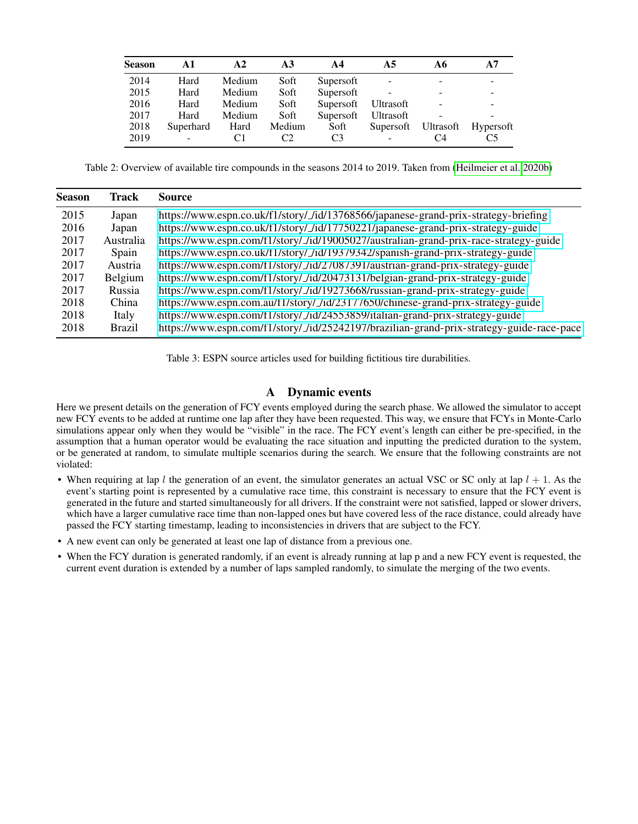<span id="page-9-0"></span>

| <b>Season</b> | A1        | A <sub>2</sub> | A <sub>3</sub> | $\mathbf{A}$ 4 | A5               | A6        | A7                       |
|---------------|-----------|----------------|----------------|----------------|------------------|-----------|--------------------------|
| 2014          | Hard      | Medium         | Soft           | Supersoft      |                  |           | $\overline{\phantom{a}}$ |
| 2015          | Hard      | Medium         | Soft           | Supersoft      |                  |           | -                        |
| 2016          | Hard      | Medium         | Soft           | Supersoft      | <b>Ultrasoft</b> |           | $\qquad \qquad -$        |
| 2017          | Hard      | Medium         | Soft           | Supersoft      | <b>Ultrasoft</b> |           |                          |
| 2018          | Superhard | Hard           | Medium         | Soft           | Supersoft        | Ultrasoft | <b>Hypersoft</b>         |
| 2019          | -         |                | C2             | C3             |                  | C4        | C5                       |

Table 2: Overview of available tire compounds in the seasons 2014 to 2019. Taken from [\(Heilmeier et al. 2020b\)](#page-8-1)

<span id="page-9-1"></span>

| <b>Season</b> | Track         | Source                                                                                    |
|---------------|---------------|-------------------------------------------------------------------------------------------|
| 2015          | Japan         | https://www.espn.co.uk/f1/story/_/id/13768566/japanese-grand-prix-strategy-briefing       |
| 2016          | Japan         | https://www.espn.co.uk/f1/story/_/id/17750221/japanese-grand-prix-strategy-guide          |
| 2017          | Australia     | https://www.espn.com/f1/story/_/id/19005027/australian-grand-prix-race-strategy-guide     |
| 2017          | Spain         | https://www.espn.co.uk/f1/story/_/id/19379342/spanish-grand-prix-strategy-guide           |
| 2017          | Austria       | https://www.espn.com/f1/story/_/id/27087391/austrian-grand-prix-strategy-guide            |
| 2017          | Belgium       | https://www.espn.com/f1/story/_/id/20473131/belgian-grand-prix-strategy-guide             |
| 2017          | Russia        | https://www.espn.com/f1/story/_/id/19273668/russian-grand-prix-strategy-guide             |
| 2018          | China         | https://www.espn.com.au/f1/story/_/id/23177650/chinese-grand-prix-strategy-guide          |
| 2018          | Italy         | https://www.espn.com/f1/story/_/id/24553859/italian-grand-prix-strategy-guide             |
| 2018          | <b>Brazil</b> | https://www.espn.com/f1/story/_/id/25242197/brazilian-grand-prix-strategy-guide-race-pace |

Table 3: ESPN source articles used for building fictitious tire durabilities.

## A Dynamic events

Here we present details on the generation of FCY events employed during the search phase. We allowed the simulator to accept new FCY events to be added at runtime one lap after they have been requested. This way, we ensure that FCYs in Monte-Carlo simulations appear only when they would be "visible" in the race. The FCY event's length can either be pre-specified, in the assumption that a human operator would be evaluating the race situation and inputting the predicted duration to the system, or be generated at random, to simulate multiple scenarios during the search. We ensure that the following constraints are not violated:

- When requiring at lap l the generation of an event, the simulator generates an actual VSC or SC only at lap  $l + 1$ . As the event's starting point is represented by a cumulative race time, this constraint is necessary to ensure that the FCY event is generated in the future and started simultaneously for all drivers. If the constraint were not satisfied, lapped or slower drivers, which have a larger cumulative race time than non-lapped ones but have covered less of the race distance, could already have passed the FCY starting timestamp, leading to inconsistencies in drivers that are subject to the FCY.
- A new event can only be generated at least one lap of distance from a previous one.
- When the FCY duration is generated randomly, if an event is already running at lap p and a new FCY event is requested, the current event duration is extended by a number of laps sampled randomly, to simulate the merging of the two events.